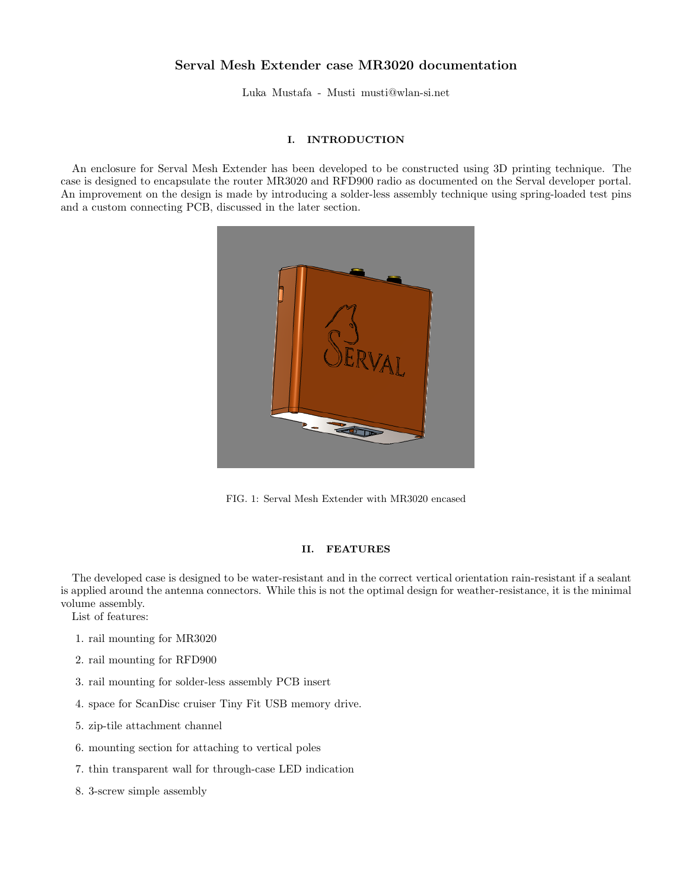## Serval Mesh Extender case MR3020 documentation

Luka Mustafa - Musti musti@wlan-si.net

## I. INTRODUCTION

An enclosure for Serval Mesh Extender has been developed to be constructed using 3D printing technique. The case is designed to encapsulate the router MR3020 and RFD900 radio as documented on the Serval developer portal. An improvement on the design is made by introducing a solder-less assembly technique using spring-loaded test pins and a custom connecting PCB, discussed in the later section.



FIG. 1: Serval Mesh Extender with MR3020 encased

## II. FEATURES

The developed case is designed to be water-resistant and in the correct vertical orientation rain-resistant if a sealant is applied around the antenna connectors. While this is not the optimal design for weather-resistance, it is the minimal volume assembly.

List of features:

- 1. rail mounting for MR3020
- 2. rail mounting for RFD900
- 3. rail mounting for solder-less assembly PCB insert
- 4. space for ScanDisc cruiser Tiny Fit USB memory drive.
- 5. zip-tile attachment channel
- 6. mounting section for attaching to vertical poles
- 7. thin transparent wall for through-case LED indication
- 8. 3-screw simple assembly